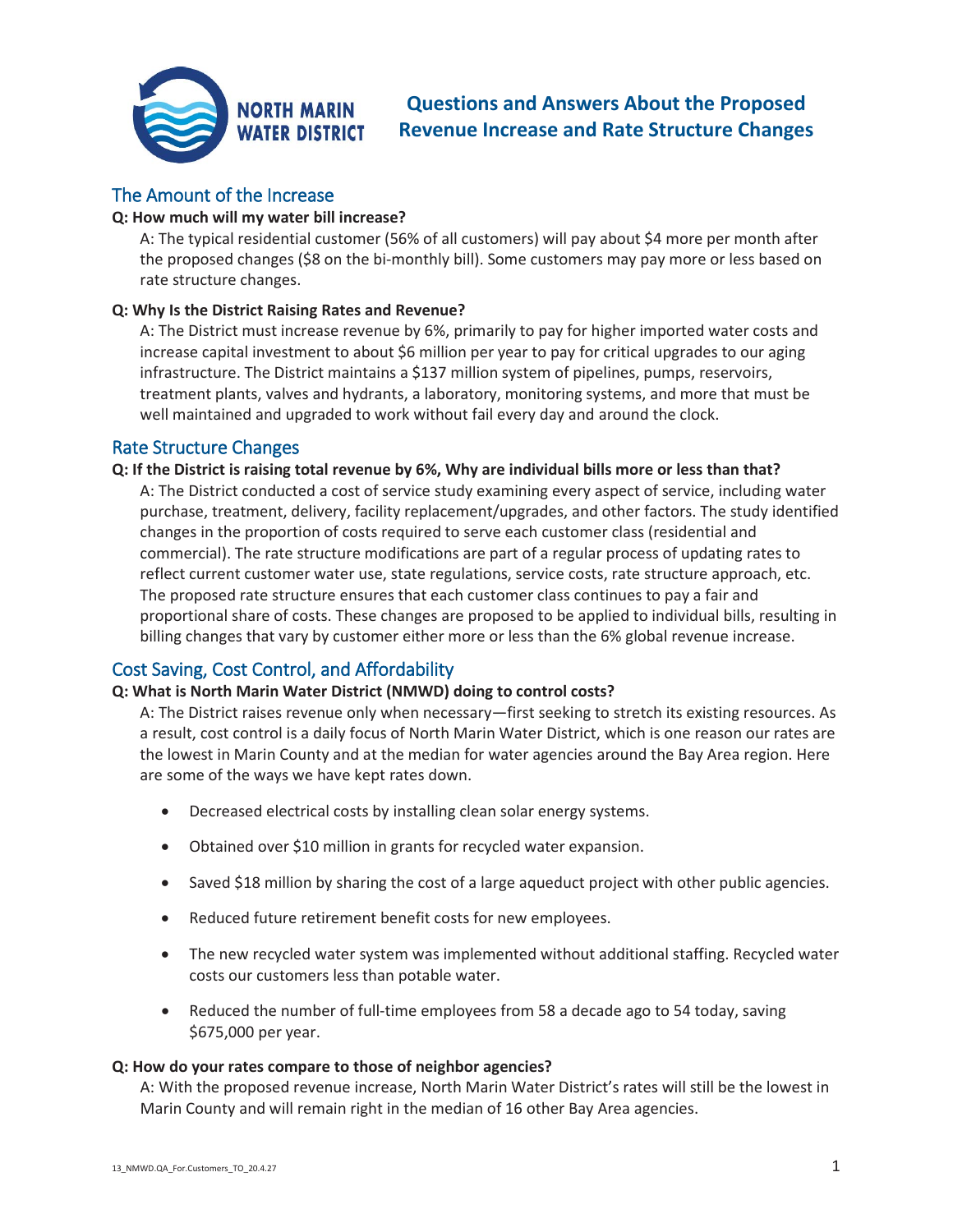

# **Questions and Answers About the Proposed Revenue Increase and Rate Structure Changes**

## The Amount of the Increase

## **Q: How much will my water bill increase?**

A: The typical residential customer (56% of all customers) will pay about \$4 more per month after the proposed changes (\$8 on the bi-monthly bill). Some customers may pay more or less based on rate structure changes.

## **Q: Why Is the District Raising Rates and Revenue?**

A: The District must increase revenue by 6%, primarily to pay for higher imported water costs and increase capital investment to about \$6 million per year to pay for critical upgrades to our aging infrastructure. The District maintains a \$137 million system of pipelines, pumps, reservoirs, treatment plants, valves and hydrants, a laboratory, monitoring systems, and more that must be well maintained and upgraded to work without fail every day and around the clock.

## Rate Structure Changes

**Q: If the District is raising total revenue by 6%, Why are individual bills more or less than that?**  A: The District conducted a cost of service study examining every aspect of service, including water purchase, treatment, delivery, facility replacement/upgrades, and other factors. The study identified changes in the proportion of costs required to serve each customer class (residential and commercial). The rate structure modifications are part of a regular process of updating rates to reflect current customer water use, state regulations, service costs, rate structure approach, etc. The proposed rate structure ensures that each customer class continues to pay a fair and proportional share of costs. These changes are proposed to be applied to individual bills, resulting in billing changes that vary by customer either more or less than the 6% global revenue increase.

## Cost Saving, Cost Control, and Affordability

## **Q: What is North Marin Water District (NMWD) doing to control costs?**

A: The District raises revenue only when necessary—first seeking to stretch its existing resources. As a result, cost control is a daily focus of North Marin Water District, which is one reason our rates are the lowest in Marin County and at the median for water agencies around the Bay Area region. Here are some of the ways we have kept rates down.

- Decreased electrical costs by installing clean solar energy systems.
- Obtained over \$10 million in grants for recycled water expansion.
- Saved \$18 million by sharing the cost of a large aqueduct project with other public agencies.
- Reduced future retirement benefit costs for new employees.
- The new recycled water system was implemented without additional staffing. Recycled water costs our customers less than potable water.
- $\bullet$  Reduced the number of full-time employees from 58 a decade ago to 54 today, saving \$675,000 per year.

### **Q: How do your rates compare to those of neighbor agencies?**

A: With the proposed revenue increase, North Marin Water District's rates will still be the lowest in Marin County and will remain right in the median of 16 other Bay Area agencies.